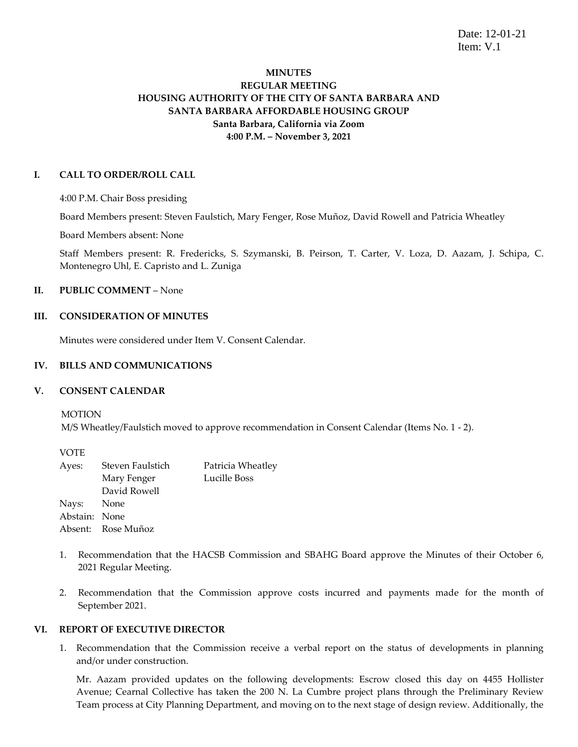Date: 12-01-21 Item: V.1

# **MINUTES REGULAR MEETING HOUSING AUTHORITY OF THE CITY OF SANTA BARBARA AND SANTA BARBARA AFFORDABLE HOUSING GROUP Santa Barbara, California via Zoom 4:00 P.M. – November 3, 2021**

### **I. CALL TO ORDER/ROLL CALL**

4:00 P.M. Chair Boss presiding

Board Members present: Steven Faulstich, Mary Fenger, Rose Muñoz, David Rowell and Patricia Wheatley

Board Members absent: None

Staff Members present: R. Fredericks, S. Szymanski, B. Peirson, T. Carter, V. Loza, D. Aazam, J. Schipa, C. Montenegro Uhl, E. Capristo and L. Zuniga

# **II. PUBLIC COMMENT** – None

# **III. CONSIDERATION OF MINUTES**

Minutes were considered under Item V. Consent Calendar.

# **IV. BILLS AND COMMUNICATIONS**

### **V. CONSENT CALENDAR**

MOTION

M/S Wheatley/Faulstich moved to approve recommendation in Consent Calendar (Items No. 1 - 2).

| Steven Faulstich   | Patricia Wheatley |
|--------------------|-------------------|
| Mary Fenger        | Lucille Boss      |
| David Rowell       |                   |
| Nays: None         |                   |
| Abstain: None      |                   |
| Absent: Rose Muñoz |                   |
|                    |                   |

- 1. Recommendation that the HACSB Commission and SBAHG Board approve the Minutes of their October 6, 2021 Regular Meeting.
- 2. Recommendation that the Commission approve costs incurred and payments made for the month of September 2021.

# **VI. REPORT OF EXECUTIVE DIRECTOR**

1. Recommendation that the Commission receive a verbal report on the status of developments in planning and/or under construction.

Mr. Aazam provided updates on the following developments: Escrow closed this day on 4455 Hollister Avenue; Cearnal Collective has taken the 200 N. La Cumbre project plans through the Preliminary Review Team process at City Planning Department, and moving on to the next stage of design review. Additionally, the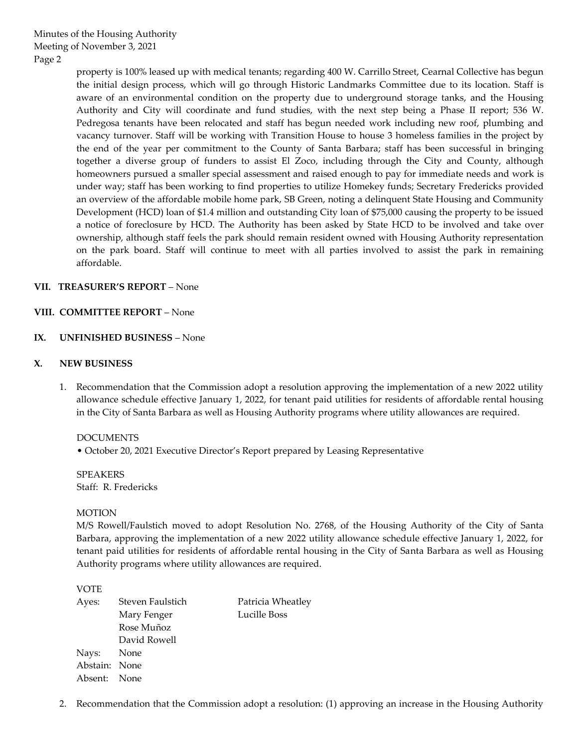property is 100% leased up with medical tenants; regarding 400 W. Carrillo Street, Cearnal Collective has begun the initial design process, which will go through Historic Landmarks Committee due to its location. Staff is aware of an environmental condition on the property due to underground storage tanks, and the Housing Authority and City will coordinate and fund studies, with the next step being a Phase II report; 536 W. Pedregosa tenants have been relocated and staff has begun needed work including new roof, plumbing and vacancy turnover. Staff will be working with Transition House to house 3 homeless families in the project by the end of the year per commitment to the County of Santa Barbara; staff has been successful in bringing together a diverse group of funders to assist El Zoco, including through the City and County, although homeowners pursued a smaller special assessment and raised enough to pay for immediate needs and work is under way; staff has been working to find properties to utilize Homekey funds; Secretary Fredericks provided an overview of the affordable mobile home park, SB Green, noting a delinquent State Housing and Community Development (HCD) loan of \$1.4 million and outstanding City loan of \$75,000 causing the property to be issued a notice of foreclosure by HCD. The Authority has been asked by State HCD to be involved and take over ownership, although staff feels the park should remain resident owned with Housing Authority representation on the park board. Staff will continue to meet with all parties involved to assist the park in remaining affordable.

# **VII. TREASURER'S REPORT** – None

# **VIII. COMMITTEE REPORT** – None

# **IX. UNFINISHED BUSINESS** – None

# **X. NEW BUSINESS**

1. Recommendation that the Commission adopt a resolution approving the implementation of a new 2022 utility allowance schedule effective January 1, 2022, for tenant paid utilities for residents of affordable rental housing in the City of Santa Barbara as well as Housing Authority programs where utility allowances are required.

DOCUMENTS

• October 20, 2021 Executive Director's Report prepared by Leasing Representative

**SPEAKERS** Staff: R. Fredericks

### **MOTION**

M/S Rowell/Faulstich moved to adopt Resolution No. 2768, of the Housing Authority of the City of Santa Barbara, approving the implementation of a new 2022 utility allowance schedule effective January 1, 2022, for tenant paid utilities for residents of affordable rental housing in the City of Santa Barbara as well as Housing Authority programs where utility allowances are required.

VOTE

| Ayes:         | Steven Faulstich | Patricia Wheatley |
|---------------|------------------|-------------------|
|               | Mary Fenger      | Lucille Boss      |
|               | Rose Muñoz       |                   |
|               | David Rowell     |                   |
| Nays: None    |                  |                   |
| Abstain: None |                  |                   |
| Absent: None  |                  |                   |
|               |                  |                   |

2. Recommendation that the Commission adopt a resolution: (1) approving an increase in the Housing Authority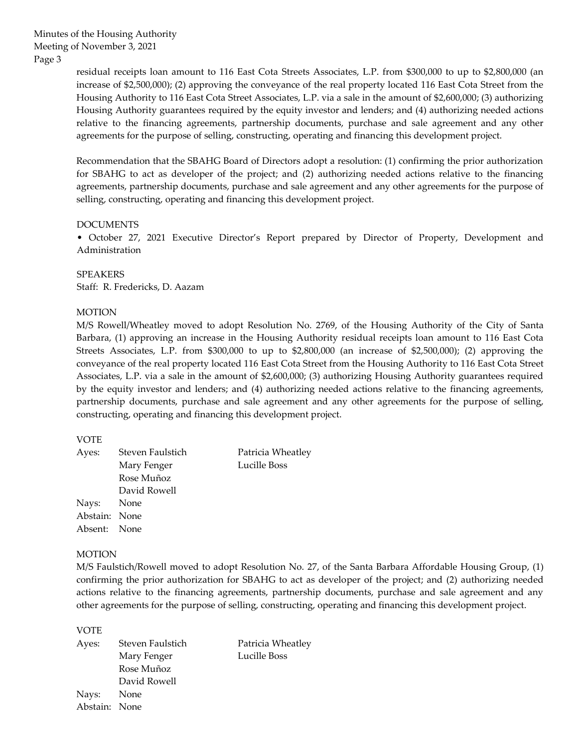Minutes of the Housing Authority Meeting of November 3, 2021 Page 3

> residual receipts loan amount to 116 East Cota Streets Associates, L.P. from \$300,000 to up to \$2,800,000 (an increase of \$2,500,000); (2) approving the conveyance of the real property located 116 East Cota Street from the Housing Authority to 116 East Cota Street Associates, L.P. via a sale in the amount of \$2,600,000; (3) authorizing Housing Authority guarantees required by the equity investor and lenders; and (4) authorizing needed actions relative to the financing agreements, partnership documents, purchase and sale agreement and any other agreements for the purpose of selling, constructing, operating and financing this development project.

> Recommendation that the SBAHG Board of Directors adopt a resolution: (1) confirming the prior authorization for SBAHG to act as developer of the project; and (2) authorizing needed actions relative to the financing agreements, partnership documents, purchase and sale agreement and any other agreements for the purpose of selling, constructing, operating and financing this development project.

### DOCUMENTS

• October 27, 2021 Executive Director's Report prepared by Director of Property, Development and Administration

SPEAKERS Staff: R. Fredericks, D. Aazam

# MOTION

M/S Rowell/Wheatley moved to adopt Resolution No. 2769, of the Housing Authority of the City of Santa Barbara, (1) approving an increase in the Housing Authority residual receipts loan amount to 116 East Cota Streets Associates, L.P. from \$300,000 to up to \$2,800,000 (an increase of \$2,500,000); (2) approving the conveyance of the real property located 116 East Cota Street from the Housing Authority to 116 East Cota Street Associates, L.P. via a sale in the amount of \$2,600,000; (3) authorizing Housing Authority guarantees required by the equity investor and lenders; and (4) authorizing needed actions relative to the financing agreements, partnership documents, purchase and sale agreement and any other agreements for the purpose of selling, constructing, operating and financing this development project.

### VOTE

| Ayes:         | Steven Faulstich | Patricia Wheatley |
|---------------|------------------|-------------------|
|               | Mary Fenger      | Lucille Boss      |
|               | Rose Muñoz       |                   |
|               | David Rowell     |                   |
| Nays: None    |                  |                   |
| Abstain: None |                  |                   |
| Absent: None  |                  |                   |
|               |                  |                   |

### MOTION

M/S Faulstich/Rowell moved to adopt Resolution No. 27, of the Santa Barbara Affordable Housing Group, (1) confirming the prior authorization for SBAHG to act as developer of the project; and (2) authorizing needed actions relative to the financing agreements, partnership documents, purchase and sale agreement and any other agreements for the purpose of selling, constructing, operating and financing this development project.

VOTE

| Ayes:         | Steven Faulstich | Patricia Wheatley |
|---------------|------------------|-------------------|
|               | Mary Fenger      | Lucille Boss      |
|               | Rose Muñoz       |                   |
|               | David Rowell     |                   |
| Nays:         | None             |                   |
| Abstain: None |                  |                   |